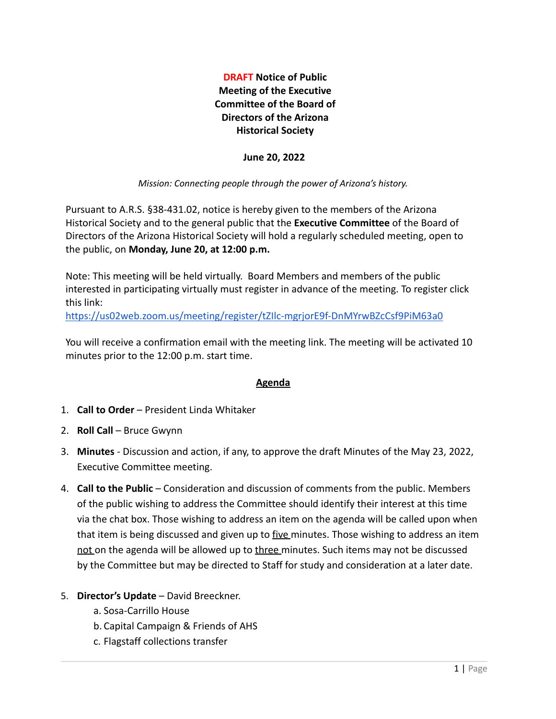**DRAFT Notice of Public Meeting of the Executive Committee of the Board of Directors of the Arizona Historical Society**

#### **June 20, 2022**

#### *Mission: Connecting people through the power of Arizona's history.*

Pursuant to A.R.S. §38-431.02, notice is hereby given to the members of the Arizona Historical Society and to the general public that the **Executive Committee** of the Board of Directors of the Arizona Historical Society will hold a regularly scheduled meeting, open to the public, on **Monday, June 20, at 12:00 p.m.**

Note: This meeting will be held virtually. Board Members and members of the public interested in participating virtually must register in advance of the meeting. To register click this link:

<https://us02web.zoom.us/meeting/register/tZIlc-mgrjorE9f-DnMYrwBZcCsf9PiM63a0>

You will receive a confirmation email with the meeting link. The meeting will be activated 10 minutes prior to the 12:00 p.m. start time.

## **Agenda**

- 1. **Call to Order** President Linda Whitaker
- 2. **Roll Call** Bruce Gwynn
- 3. **Minutes** Discussion and action, if any, to approve the draft Minutes of the May 23, 2022, Executive Committee meeting.
- 4. **Call to the Public** Consideration and discussion of comments from the public. Members of the public wishing to address the Committee should identify their interest at this time via the chat box. Those wishing to address an item on the agenda will be called upon when that item is being discussed and given up to five minutes. Those wishing to address an item not on the agenda will be allowed up to three minutes. Such items may not be discussed by the Committee but may be directed to Staff for study and consideration at a later date.
- 5. **Director's Update** David Breeckner.
	- a. Sosa-Carrillo House
	- b. Capital Campaign & Friends of AHS
	- c. Flagstaff collections transfer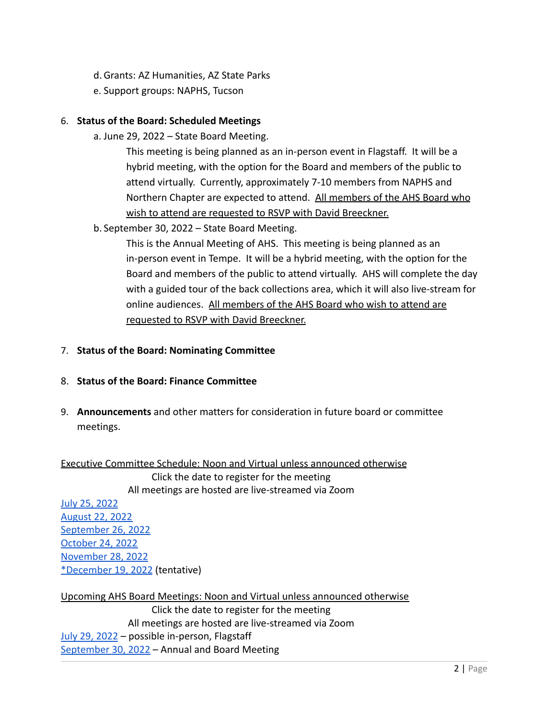- d. Grants: AZ Humanities, AZ State Parks
- e. Support groups: NAPHS, Tucson

## 6. **Status of the Board: Scheduled Meetings**

a. June 29, 2022 – State Board Meeting.

This meeting is being planned as an in-person event in Flagstaff. It will be a hybrid meeting, with the option for the Board and members of the public to attend virtually. Currently, approximately 7-10 members from NAPHS and Northern Chapter are expected to attend. All members of the AHS Board who wish to attend are requested to RSVP with David Breeckner.

b. September 30, 2022 – State Board Meeting.

This is the Annual Meeting of AHS. This meeting is being planned as an in-person event in Tempe. It will be a hybrid meeting, with the option for the Board and members of the public to attend virtually. AHS will complete the day with a guided tour of the back collections area, which it will also live-stream for online audiences. All members of the AHS Board who wish to attend are requested to RSVP with David Breeckner.

## 7. **Status of the Board: Nominating Committee**

# 8. **Status of the Board: Finance Committee**

9. **Announcements** and other matters for consideration in future board or committee meetings.

Executive Committee Schedule: Noon and Virtual unless announced otherwise Click the date to register for the meeting All meetings are hosted are live-streamed via Zoom

[July 25, 2022](https://us02web.zoom.us/meeting/register/tZIlc-mgrjorE9f-DnMYrwBZcCsf9PiM63a0) [August 22, 2022](https://us02web.zoom.us/meeting/register/tZIlc-mgrjorE9f-DnMYrwBZcCsf9PiM63a0) [September 26, 2022](https://us02web.zoom.us/meeting/register/tZIlc-mgrjorE9f-DnMYrwBZcCsf9PiM63a0) [October 24, 2022](https://us02web.zoom.us/meeting/register/tZIlc-mgrjorE9f-DnMYrwBZcCsf9PiM63a0) [November 28, 2022](https://us02web.zoom.us/meeting/register/tZIlc-mgrjorE9f-DnMYrwBZcCsf9PiM63a0) [\\*December 19, 2022](https://us02web.zoom.us/meeting/register/tZIlc-mgrjorE9f-DnMYrwBZcCsf9PiM63a0) (tentative)

Upcoming AHS Board Meetings: Noon and Virtual unless announced otherwise Click the date to register for the meeting All meetings are hosted are live-streamed via Zoom [July 29, 2022](https://us02web.zoom.us/meeting/register/tZIpceCoqT4qGdXqHaGVt1rlDL6JvWFbfB62) - possible in-person, Flagstaff [September 30, 2022](https://us02web.zoom.us/meeting/register/tZwvduytpzgjGtOAQa_mQlsIt1gPGLPjnLVS) – Annual and Board Meeting